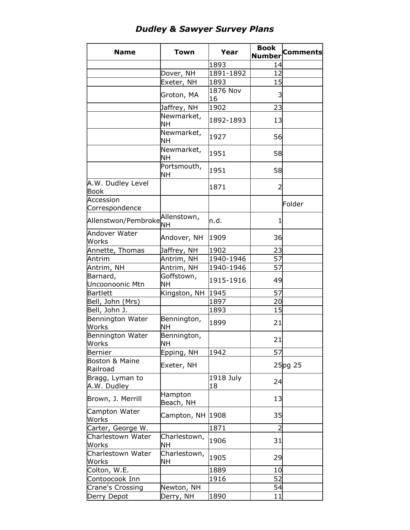## *Dudley & Sawyer Survey Plans*

| <b>Name</b>                 | <b>Town</b>              | Year      | <b>Book</b>    | <b>Comments</b> |
|-----------------------------|--------------------------|-----------|----------------|-----------------|
|                             |                          |           | <b>Number</b>  |                 |
|                             |                          | 1893      | 14             |                 |
|                             | Dover, NH                | 1891-1892 | 12             |                 |
|                             | Exeter, NH               | 1893      | 15             |                 |
|                             |                          | 1876 Nov  |                |                 |
|                             | Groton, MA               | 16        | 3              |                 |
|                             | Jaffrey, NH              | 1902      | 23             |                 |
|                             | Newmarket,               | 1892-1893 |                |                 |
|                             | NΗ                       |           | 13             |                 |
|                             | Newmarket,               | 1927      | 56             |                 |
|                             | <b>NH</b>                |           |                |                 |
|                             | Newmarket,<br><b>NH</b>  | 1951      | 58             |                 |
|                             | Portsmouth,              |           |                |                 |
|                             | NΗ                       | 1951      | 58             |                 |
| A.W. Dudley Level           |                          | 1871      | $\overline{2}$ |                 |
| <b>Book</b>                 |                          |           |                |                 |
| Accession                   |                          |           |                | Folder          |
| Correspondence              |                          |           |                |                 |
| Allenstwon/Pembroke         | Allenstown,<br><b>NH</b> | n.d.      | 1              |                 |
| Andover Water               | Andover, NH              | 1909      | 36             |                 |
| Works                       |                          |           |                |                 |
| Annette, Thomas             | Jaffrey, NH              | 1902      | 23             |                 |
| Antrim                      | Antrim, NH               | 1940-1946 | 57             |                 |
| Antrim, NH                  | Antrim, NH               | 1940-1946 | 57             |                 |
| Barnard,<br>Uncoonoonic Mtn | Goffstown,<br><b>NH</b>  | 1915-1916 | 49             |                 |
| <b>Bartlett</b>             | Kingston, NH             | 1945      | 57             |                 |
| Bell, John (Mrs)            |                          | 1897      | 20             |                 |
| Bell, John J.               |                          | 1893      | 15             |                 |
| Bennington Water            |                          |           |                |                 |
| Works                       | Bennington,<br><b>NH</b> | 1899      | 21             |                 |
| Bennington Water            | Bennington,              |           |                |                 |
| Works                       | <b>NH</b>                |           | 21             |                 |
| Bernier                     | Epping, NH               | 1942      | 57             |                 |
| Boston & Maine              |                          |           |                |                 |
| Railroad                    | Exeter, NH               |           |                | $25$ pg 25      |
| Bragg, Lyman to             |                          | 1918 July |                |                 |
| A.W. Dudley                 |                          | 18        | 24             |                 |
| Brown, J. Merrill           | Hampton<br>Beach, NH     |           | 13             |                 |
| Campton Water               |                          |           |                |                 |
| Works                       | Campton, NH              | 1908      | 35             |                 |
| Carter, George W.           |                          | 1871      | $\overline{2}$ |                 |
| Charlestown Water           | Charlestown,             | 1906      | 31             |                 |
| Works                       | <b>NH</b>                |           |                |                 |
| Charlestown Water           | Charlestown,             | 1905      | 29             |                 |
| Works                       | NΗ                       |           |                |                 |
| Colton, W.E.                |                          | 1889      | 10             |                 |
| Contoocook Inn              |                          | 1916      | 52             |                 |
| Crane's Crossing            | Newton, NH               |           | 54             |                 |
| Derry Depot                 | Derry, NH                | 1890      | 11             |                 |